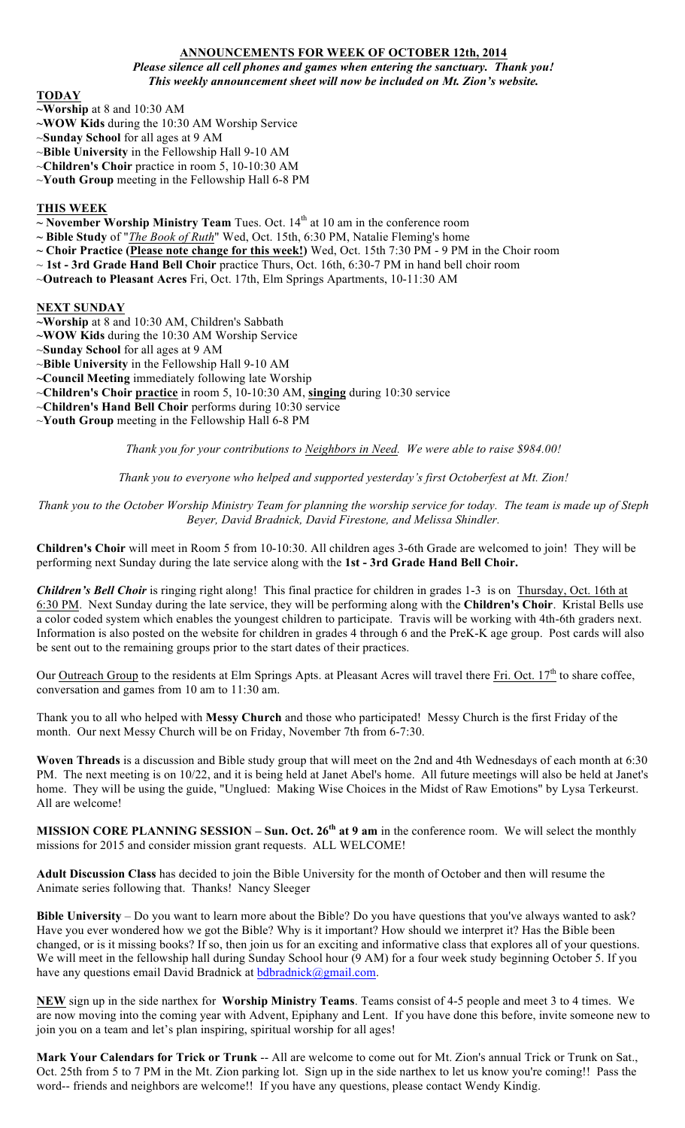# **ANNOUNCEMENTS FOR WEEK OF OCTOBER 12th, 2014**

*Please silence all cell phones and games when entering the sanctuary. Thank you! This weekly announcement sheet will now be included on Mt. Zion's website.*

### **TODAY**

- **~Worship** at 8 and 10:30 AM
- **~WOW Kids** during the 10:30 AM Worship Service
- ~**Sunday School** for all ages at 9 AM
- ~**Bible University** in the Fellowship Hall 9-10 AM
- ~**Children's Choir** practice in room 5, 10-10:30 AM
- ~**Youth Group** meeting in the Fellowship Hall 6-8 PM

### **THIS WEEK**

- $\sim$  **November Worship Ministry Team** Tues. Oct. 14<sup>th</sup> at 10 am in the conference room
- **~ Bible Study** of "*The Book of Ruth*" Wed, Oct. 15th, 6:30 PM, Natalie Fleming's home
- **~ Choir Practice (Please note change for this week!)** Wed, Oct. 15th 7:30 PM 9 PM in the Choir room
- ~ **1st - 3rd Grade Hand Bell Choir** practice Thurs, Oct. 16th, 6:30-7 PM in hand bell choir room
- ~**Outreach to Pleasant Acres** Fri, Oct. 17th, Elm Springs Apartments, 10-11:30 AM

### **NEXT SUNDAY**

- **~Worship** at 8 and 10:30 AM, Children's Sabbath
- **~WOW Kids** during the 10:30 AM Worship Service
- ~**Sunday School** for all ages at 9 AM
- ~**Bible University** in the Fellowship Hall 9-10 AM
- **~Council Meeting** immediately following late Worship
- ~**Children's Choir practice** in room 5, 10-10:30 AM, **singing** during 10:30 service
- ~**Children's Hand Bell Choir** performs during 10:30 service
- ~**Youth Group** meeting in the Fellowship Hall 6-8 PM

*Thank you for your contributions to Neighbors in Need. We were able to raise \$984.00!*

*Thank you to everyone who helped and supported yesterday's first Octoberfest at Mt. Zion!*

*Thank you to the October Worship Ministry Team for planning the worship service for today. The team is made up of Steph Beyer, David Bradnick, David Firestone, and Melissa Shindler.*

**Children's Choir** will meet in Room 5 from 10-10:30. All children ages 3-6th Grade are welcomed to join! They will be performing next Sunday during the late service along with the **1st - 3rd Grade Hand Bell Choir.**

*Children's Bell Choir* is ringing right along! This final practice for children in grades 1-3 is on Thursday, Oct. 16th at 6:30 PM. Next Sunday during the late service, they will be performing along with the **Children's Choir**. Kristal Bells use a color coded system which enables the youngest children to participate. Travis will be working with 4th-6th graders next. Information is also posted on the website for children in grades 4 through 6 and the PreK-K age group. Post cards will also be sent out to the remaining groups prior to the start dates of their practices.

Our Outreach Group to the residents at Elm Springs Apts. at Pleasant Acres will travel there Fri. Oct. 17<sup>th</sup> to share coffee, conversation and games from 10 am to 11:30 am.

Thank you to all who helped with **Messy Church** and those who participated! Messy Church is the first Friday of the month. Our next Messy Church will be on Friday, November 7th from 6-7:30.

**Woven Threads** is a discussion and Bible study group that will meet on the 2nd and 4th Wednesdays of each month at 6:30 PM. The next meeting is on 10/22, and it is being held at Janet Abel's home. All future meetings will also be held at Janet's home. They will be using the guide, "Unglued: Making Wise Choices in the Midst of Raw Emotions" by Lysa Terkeurst. All are welcome!

**MISSION CORE PLANNING SESSION – Sun. Oct. 26th at 9 am** in the conference room. We will select the monthly missions for 2015 and consider mission grant requests. ALL WELCOME!

**Adult Discussion Class** has decided to join the Bible University for the month of October and then will resume the Animate series following that. Thanks! Nancy Sleeger

**Bible University** – Do you want to learn more about the Bible? Do you have questions that you've always wanted to ask? Have you ever wondered how we got the Bible? Why is it important? How should we interpret it? Has the Bible been changed, or is it missing books? If so, then join us for an exciting and informative class that explores all of your questions. We will meet in the fellowship hall during Sunday School hour (9 AM) for a four week study beginning October 5. If you have any questions email David Bradnick at bdbradnick@gmail.com.

**NEW** sign up in the side narthex for **Worship Ministry Teams**. Teams consist of 4-5 people and meet 3 to 4 times. We are now moving into the coming year with Advent, Epiphany and Lent. If you have done this before, invite someone new to join you on a team and let's plan inspiring, spiritual worship for all ages!

**Mark Your Calendars for Trick or Trunk** -- All are welcome to come out for Mt. Zion's annual Trick or Trunk on Sat., Oct. 25th from 5 to 7 PM in the Mt. Zion parking lot. Sign up in the side narthex to let us know you're coming!! Pass the word-- friends and neighbors are welcome!! If you have any questions, please contact Wendy Kindig.